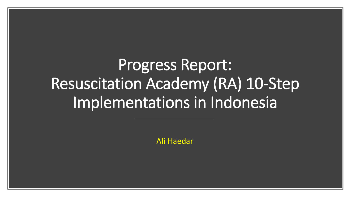Progress Report: Resuscitation Academy (RA) 10-Step Implementations in Indonesia

Ali Haedar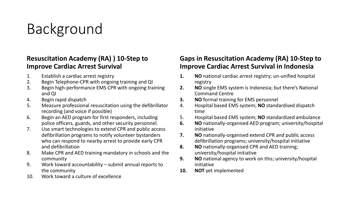## Background

#### **Resuscitation Academy (RA) ) 10-Step to Improve Cardiac Arrest Survival**

- 1. Establish a cardiac arrest registry
- 2. Begin Telephone-CPR with ongoing training and QI
- 3. Begin high-performance EMS CPR with ongoing training and QI
- 4. Begin rapid dispatch
- 5. Measure professional resuscitation using the defibrillator recording (and voice if possible)
- 6. Begin an AED program for first responders, including police officers, guards, and other security personnel.
- 7. Use smart technologies to extend CPR and public access defibrillation programs to notify volunteer bystanders who can respond to nearby arrest to provide early CPR and defibrillation
- 8. Make CPR and AED training mandatory in schools and the community
- 9. Work toward accountability submit annual reports to the community
- 10. Work toward a culture of excellence

#### **Gaps in Resuscitation Academy (RA) 10-Step to Improve Cardiac Arrest Survival in Indonesia**

- **1. NO** national cardiac arrest registry; un-unified hospital registry
- **2. NO** single EMS system is Indonesia; but there's National Command Centre
- **3. NO** formal training for EMS personnel
- 4. Hospital based EMS system; **NO** standardised dispatch time
- 5. Hospital based EMS system; **NO** standardized ambulance
- **6. NO** nationally-organised AED program; university/hospital initiative
- **7. NO** nationally-organised extend CPR and public access defibrillation programs; university/hospital initiative
- **8. NO** nationally-organised CPR and AED training; university/hospital initiative
- **9. NO** national agency to work on this; university/hospital initiative
- **10. NOT** yet implemented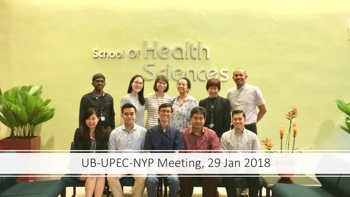

### UB-UPEC-NYP Meeting, 29 Jan 2018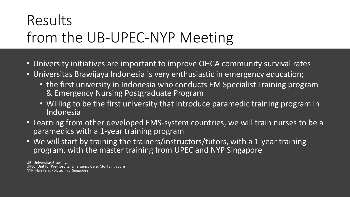## Results from the UB-UPEC-NYP Meeting

- University initiatives are important to improve OHCA community survival rates
- Universitas Brawijaya Indonesia is very enthusiastic in emergency education;
	- the first university in Indonesia who conducts EM Specialist Training program & Emergency Nursing Postgraduate Program
	- Willing to be the first university that introduce paramedic training program in Indonesia
- Learning from other developed EMS-system countries, we will train nurses to be a paramedics with a 1-year training program
- We will start by training the trainers/instructors/tutors, with a 1-year training program, with the master training from UPEC and NYP Singapore

UB: Universitas Brawijaya UPEC: Unit for Pre-hospital Emergency Care, MoH Singapore NYP: Nan Yang Polytechnic, Singapore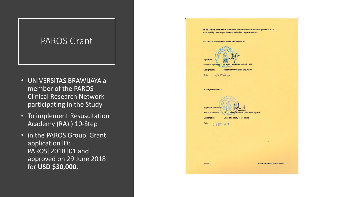### PAROS Grant

- UNIVERSITAS BRAWIJAYA a member of the PAROS Clinical Research Network participating in the Study
- To implement Resuscitation Academy (RA) ) 10-Step
- in the PAROS Group' Grant application lD: PAROS|2018|01 and approved on 29 June 2018 for **USD \$30,000**.

| IN WITNESS WHEREOF the Parties hereto have caused this Agreement to be<br>executed by their respective duly authorised representatives. |                                   |
|-----------------------------------------------------------------------------------------------------------------------------------------|-----------------------------------|
| For and on the behalf of HOST INSTITUTION:                                                                                              |                                   |
| Signature:<br>Name of signatory: PeProf. Dr. Nuthil Hanani AR., MS.                                                                     |                                   |
| Designation:<br>Rector of Universitas Brawijaya                                                                                         |                                   |
| 24/05/2019<br>Date:                                                                                                                     |                                   |
|                                                                                                                                         |                                   |
| In the presence of: -                                                                                                                   |                                   |
| Que<br>Signature of witness:<br>Name of witness:<br>Dr. dr. Wisnu Barlianto, Msi.Med, Sp.A(K)                                           |                                   |
| Dean of Faculty of Medicine<br>Designation:                                                                                             |                                   |
| Date:<br>2 4 MAY 2019                                                                                                                   |                                   |
|                                                                                                                                         |                                   |
|                                                                                                                                         |                                   |
|                                                                                                                                         |                                   |
|                                                                                                                                         |                                   |
|                                                                                                                                         |                                   |
| Page 7 of 18                                                                                                                            | SCRI AND UNIVERSITAS BRAWUAYA MOU |
|                                                                                                                                         |                                   |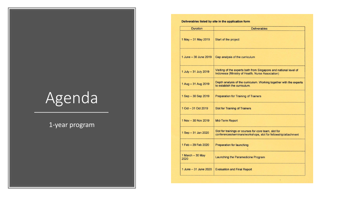# Agenda

#### 1-year program

| Deliverables listed by site in the application form |
|-----------------------------------------------------|
|-----------------------------------------------------|

| Visiting of the experts both from Singapore and national level of   |
|---------------------------------------------------------------------|
| Depth analysis of the curriculum. Working together with the experts |
|                                                                     |
|                                                                     |
|                                                                     |
| conferences/seminars/workshops, slot for fellowship/attachment      |
|                                                                     |
|                                                                     |
|                                                                     |
|                                                                     |